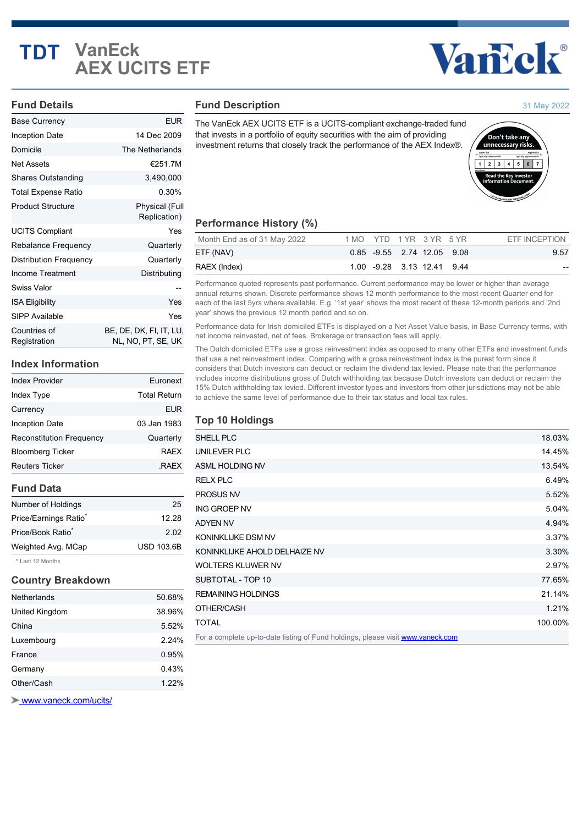## **TDT VanEck AEX UCITS ETF**

# Vancok®

#### **Fund Details**

| <b>Base Currency</b>         | <b>EUR</b>                                    |
|------------------------------|-----------------------------------------------|
| Inception Date               | 14 Dec 2009                                   |
| Domicile                     | The Netherlands                               |
| Net Assets                   | €251.7M                                       |
| <b>Shares Outstanding</b>    | 3,490,000                                     |
| Total Expense Ratio          | 0.30%                                         |
| <b>Product Structure</b>     | <b>Physical (Full</b><br>Replication)         |
| <b>UCITS Compliant</b>       | Yes                                           |
| Rebalance Frequency          | Quarterly                                     |
| Distribution Frequency       | Quarterly                                     |
| <b>Income Treatment</b>      | Distributing                                  |
| <b>Swiss Valor</b>           |                                               |
| <b>ISA Eligibility</b>       | Yes                                           |
| <b>SIPP Available</b>        | Yes                                           |
| Countries of<br>Registration | BE, DE, DK, FI, IT, LU,<br>NL, NO, PT, SE, UK |

#### **Index Information**

| <b>Index Provider</b>             | Euronext            |
|-----------------------------------|---------------------|
| Index Type                        | <b>Total Return</b> |
| Currency                          | <b>EUR</b>          |
| Inception Date                    | 03 Jan 1983         |
| <b>Reconstitution Frequency</b>   | Quarterly           |
| <b>Bloomberg Ticker</b>           | <b>RAFX</b>         |
| <b>Reuters Ticker</b>             | <b>RAEX</b>         |
| <b>Fund Data</b>                  |                     |
| Number of Holdings                | 25                  |
| Price/Earnings Ratio <sup>®</sup> | 12.28               |

Price/Book Ratio<sup>\*</sup> 2.02 Weighted Avg. MCap USD 103.6B

\* Last 12 Months

## **Country Breakdown**

| Netherlands    | 50.68% |
|----------------|--------|
| United Kingdom | 38.96% |
| China          | 5.52%  |
| Luxembourg     | 2.24%  |
| France         | 0.95%  |
| Germany        | 0.43%  |
| Other/Cash     | 1.22%  |

 [www.vaneck.com/ucits/](http://www.vaneck.com/ucits/)

#### **Fund Description**

The VanEck AEX UCITS ETF is a UCITS-compliant exchange-traded fund that invests in a portfolio of equity securities with the aim of providing investment returns that closely track the performance of the AEX Index®.



### **Performance History (%)**

| Month End as of 31 May 2022 | 1 MO YTD 1 YR 3 YR 5 YR |  |                            | ETF INCEPTION |
|-----------------------------|-------------------------|--|----------------------------|---------------|
| ETF (NAV)                   |                         |  | 0.85 -9.55 2.74 12.05 9.08 | 9.57          |
| RAEX (Index)                |                         |  | 1.00 -9.28 3.13 12.41 9.44 | $- -$         |

Performance quoted represents past performance. Current performance may be lower or higher than average annual returns shown. Discrete performance shows 12 month performance to the most recent Quarter end for each of the last 5yrs where available. E.g. '1st year' shows the most recent of these 12-month periods and '2nd year' shows the previous 12 month period and so on.

Performance data for Irish domiciled ETFs is displayed on a Net Asset Value basis, in Base Currency terms, with net income reinvested, net of fees. Brokerage or transaction fees will apply.

The Dutch domiciled ETFs use a gross reinvestment index as opposed to many other ETFs and investment funds that use a net reinvestment index. Comparing with a gross reinvestment index is the purest form since it considers that Dutch investors can deduct or reclaim the dividend tax levied. Please note that the performance includes income distributions gross of Dutch withholding tax because Dutch investors can deduct or reclaim the 15% Dutch withholding tax levied. Different investor types and investors from other jurisdictions may not be able to achieve the same level of performance due to their tax status and local tax rules.

#### **Top 10 Holdings**

| <b>SHELL PLC</b>                                                                | 18.03%  |
|---------------------------------------------------------------------------------|---------|
| UNILEVER PLC                                                                    | 14.45%  |
| ASML HOLDING NV                                                                 | 13.54%  |
| <b>RELX PLC</b>                                                                 | 6.49%   |
| <b>PROSUS NV</b>                                                                | 5.52%   |
| <b>ING GROEP NV</b>                                                             | 5.04%   |
| <b>ADYEN NV</b>                                                                 | 4.94%   |
| KONINKLIJKE DSM NV                                                              | 3.37%   |
| KONINKLIJKE AHOLD DELHAIZE NV                                                   | 3.30%   |
| <b>WOLTERS KLUWER NV</b>                                                        | 2.97%   |
| SUBTOTAL - TOP 10                                                               | 77.65%  |
| <b>REMAINING HOLDINGS</b>                                                       | 21.14%  |
| OTHER/CASH                                                                      | 1.21%   |
| TOTAL                                                                           | 100.00% |
| For a complete up-to-date listing of Fund holdings, please visit www.vaneck.com |         |



31 May 2022